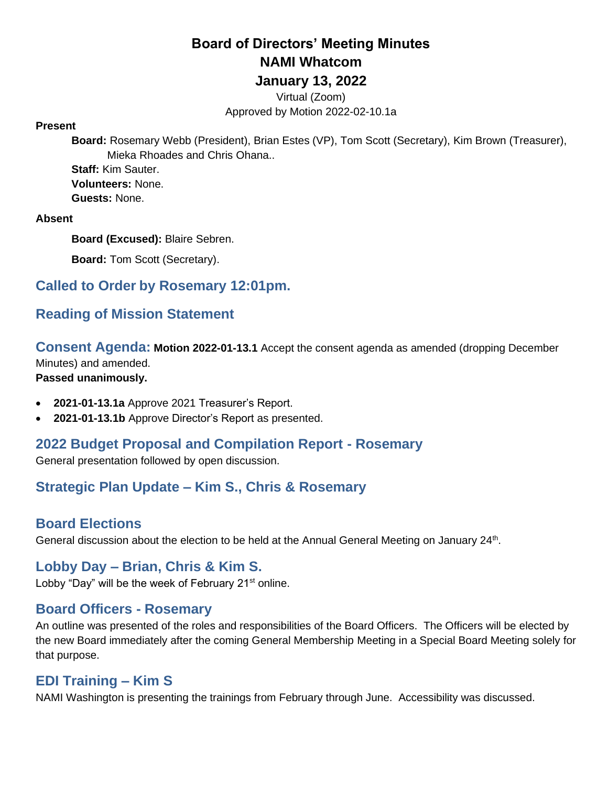# **Board of Directors' Meeting Minutes NAMI Whatcom**

# **January 13, 2022**

Virtual (Zoom) Approved by Motion 2022-02-10.1a

#### **Present**

**Board:** Rosemary Webb (President), Brian Estes (VP), Tom Scott (Secretary), Kim Brown (Treasurer), Mieka Rhoades and Chris Ohana..

**Staff:** Kim Sauter. **Volunteers:** None. **Guests:** None.

#### **Absent**

**Board (Excused):** Blaire Sebren.

**Board:** Tom Scott (Secretary).

## **Called to Order by Rosemary 12:01pm.**

## **Reading of Mission Statement**

**Consent Agenda: Motion 2022-01-13.1** Accept the consent agenda as amended (dropping December Minutes) and amended. **Passed unanimously.**

- **2021-01-13.1a** Approve 2021 Treasurer's Report.
- **2021-01-13.1b** Approve Director's Report as presented.

#### **2022 Budget Proposal and Compilation Report - Rosemary**

General presentation followed by open discussion.

## **Strategic Plan Update – Kim S., Chris & Rosemary**

#### **Board Elections**

General discussion about the election to be held at the Annual General Meeting on January 24<sup>th</sup>.

#### **Lobby Day – Brian, Chris & Kim S.**

Lobby "Day" will be the week of February 21<sup>st</sup> online.

#### **Board Officers - Rosemary**

An outline was presented of the roles and responsibilities of the Board Officers. The Officers will be elected by the new Board immediately after the coming General Membership Meeting in a Special Board Meeting solely for that purpose.

## **EDI Training – Kim S**

NAMI Washington is presenting the trainings from February through June. Accessibility was discussed.